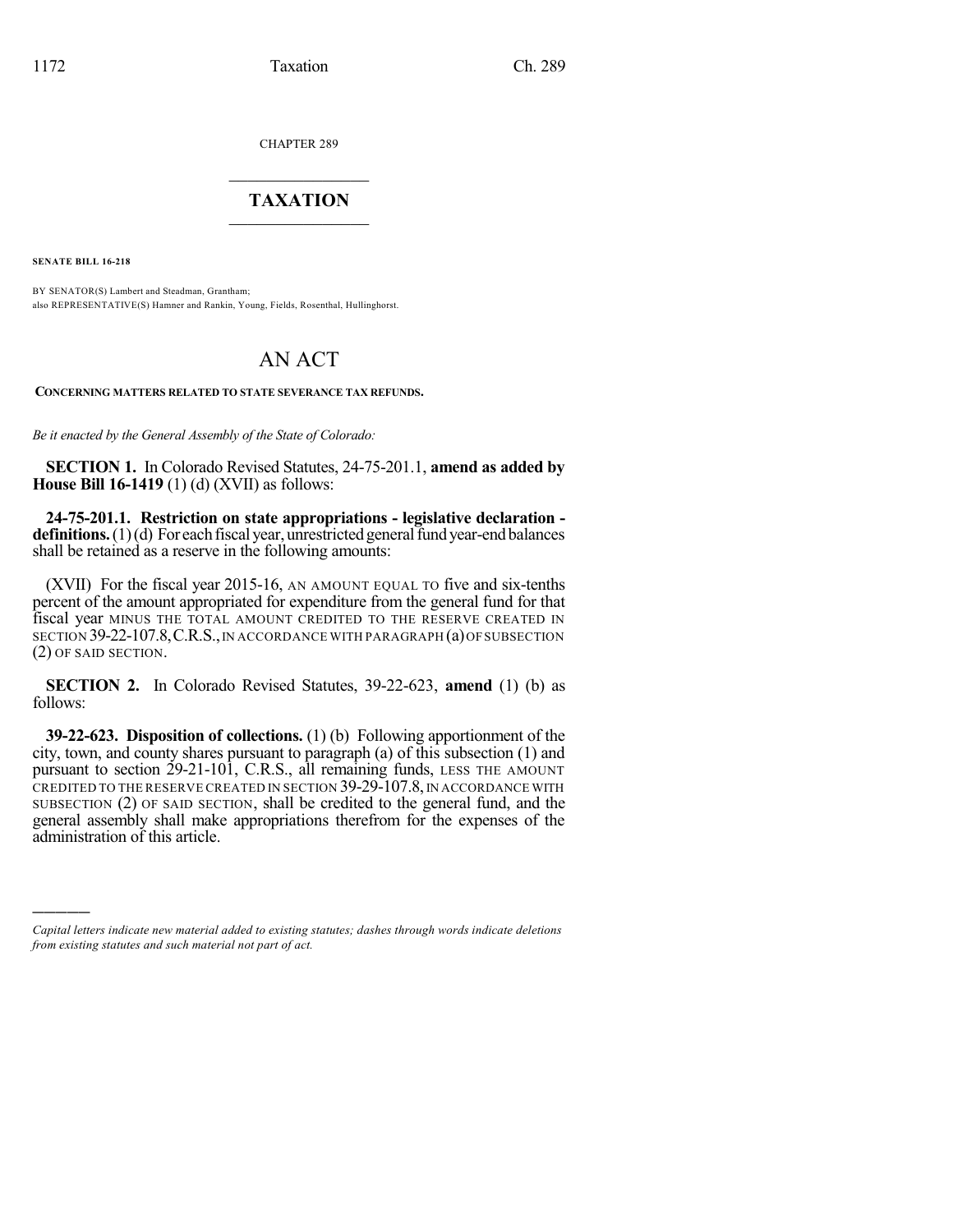CHAPTER 289

## $\mathcal{L}_\text{max}$  . The set of the set of the set of the set of the set of the set of the set of the set of the set of the set of the set of the set of the set of the set of the set of the set of the set of the set of the set **TAXATION**  $\_$

**SENATE BILL 16-218**

)))))

BY SENATOR(S) Lambert and Steadman, Grantham; also REPRESENTATIVE(S) Hamner and Rankin, Young, Fields, Rosenthal, Hullinghorst.

## AN ACT

**CONCERNING MATTERS RELATED TO STATE SEVERANCE TAX REFUNDS.**

*Be it enacted by the General Assembly of the State of Colorado:*

**SECTION 1.** In Colorado Revised Statutes, 24-75-201.1, **amend as added by House Bill 16-1419** (1) (d) (XVII) as follows:

**24-75-201.1. Restriction on state appropriations - legislative declaration definitions.** (1)(d) For each fiscal year, unrestricted general fund year-end balances shall be retained as a reserve in the following amounts:

(XVII) For the fiscal year 2015-16, AN AMOUNT EQUAL TO five and six-tenths percent of the amount appropriated for expenditure from the general fund for that fiscal year MINUS THE TOTAL AMOUNT CREDITED TO THE RESERVE CREATED IN SECTION 39-22-107.8,C.R.S.,IN ACCORDANCE WITH PARAGRAPH (a)OFSUBSECTION (2) OF SAID SECTION.

**SECTION 2.** In Colorado Revised Statutes, 39-22-623, **amend** (1) (b) as follows:

**39-22-623. Disposition of collections.** (1) (b) Following apportionment of the city, town, and county shares pursuant to paragraph (a) of this subsection (1) and pursuant to section 29-21-101, C.R.S., all remaining funds, LESS THE AMOUNT CREDITED TO THE RESERVE CREATED IN SECTION 39-29-107.8, IN ACCORDANCE WITH SUBSECTION (2) OF SAID SECTION, shall be credited to the general fund, and the general assembly shall make appropriations therefrom for the expenses of the administration of this article.

*Capital letters indicate new material added to existing statutes; dashes through words indicate deletions from existing statutes and such material not part of act.*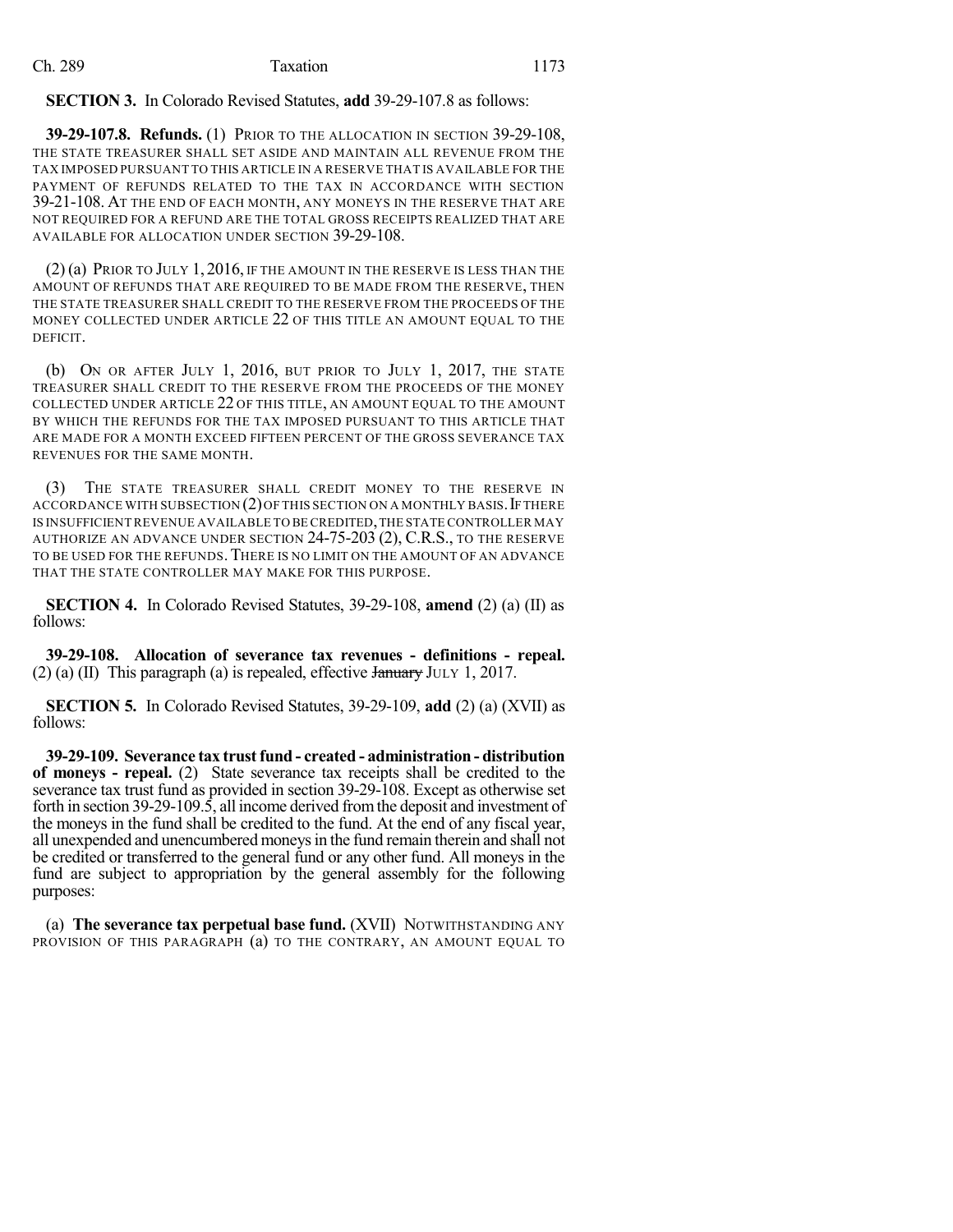## **SECTION 3.** In Colorado Revised Statutes, **add** 39-29-107.8 as follows:

**39-29-107.8. Refunds.** (1) PRIOR TO THE ALLOCATION IN SECTION 39-29-108, THE STATE TREASURER SHALL SET ASIDE AND MAINTAIN ALL REVENUE FROM THE TAX IMPOSED PURSUANT TO THIS ARTICLE IN A RESERVE THAT IS AVAILABLE FOR THE PAYMENT OF REFUNDS RELATED TO THE TAX IN ACCORDANCE WITH SECTION 39-21-108. AT THE END OF EACH MONTH, ANY MONEYS IN THE RESERVE THAT ARE NOT REQUIRED FOR A REFUND ARE THE TOTAL GROSS RECEIPTS REALIZED THAT ARE AVAILABLE FOR ALLOCATION UNDER SECTION 39-29-108.

(2) (a) PRIOR TO JULY 1, 2016, IF THE AMOUNT IN THE RESERVE IS LESS THAN THE AMOUNT OF REFUNDS THAT ARE REQUIRED TO BE MADE FROM THE RESERVE, THEN THE STATE TREASURER SHALL CREDIT TO THE RESERVE FROM THE PROCEEDS OF THE MONEY COLLECTED UNDER ARTICLE 22 OF THIS TITLE AN AMOUNT EQUAL TO THE DEFICIT.

(b) ON OR AFTER JULY 1, 2016, BUT PRIOR TO JULY 1, 2017, THE STATE TREASURER SHALL CREDIT TO THE RESERVE FROM THE PROCEEDS OF THE MONEY COLLECTED UNDER ARTICLE 22 OF THIS TITLE, AN AMOUNT EQUAL TO THE AMOUNT BY WHICH THE REFUNDS FOR THE TAX IMPOSED PURSUANT TO THIS ARTICLE THAT ARE MADE FOR A MONTH EXCEED FIFTEEN PERCENT OF THE GROSS SEVERANCE TAX REVENUES FOR THE SAME MONTH.

(3) THE STATE TREASURER SHALL CREDIT MONEY TO THE RESERVE IN ACCORDANCE WITH SUBSECTION  $(2)$  OF THIS SECTION ON A MONTHLY BASIS. IF THERE IS INSUFFICIENTREVENUE AVAILABLE TO BE CREDITED,THE STATE CONTROLLER MAY AUTHORIZE AN ADVANCE UNDER SECTION 24-75-203 (2), C.R.S., TO THE RESERVE TO BE USED FOR THE REFUNDS.THERE IS NO LIMIT ON THE AMOUNT OF AN ADVANCE THAT THE STATE CONTROLLER MAY MAKE FOR THIS PURPOSE.

**SECTION 4.** In Colorado Revised Statutes, 39-29-108, **amend** (2) (a) (II) as follows:

**39-29-108. Allocation of severance tax revenues - definitions - repeal.** (2) (a) (II) This paragraph (a) is repealed, effective  $\frac{1}{2}$  July 1, 2017.

**SECTION 5.** In Colorado Revised Statutes, 39-29-109, **add** (2) (a) (XVII) as follows:

**39-29-109. Severance tax trustfund - created - administration - distribution of moneys - repeal.** (2) State severance tax receipts shall be credited to the severance tax trust fund as provided in section 39-29-108. Except as otherwise set forth in section 39-29-109.5, all income derived fromthe deposit and investment of the moneys in the fund shall be credited to the fund. At the end of any fiscal year, all unexpended and unencumbered moneysin the fund remain therein and shall not be credited or transferred to the general fund or any other fund. All moneys in the fund are subject to appropriation by the general assembly for the following purposes:

(a) **The severance tax perpetual base fund.** (XVII) NOTWITHSTANDING ANY PROVISION OF THIS PARAGRAPH (a) TO THE CONTRARY, AN AMOUNT EQUAL TO